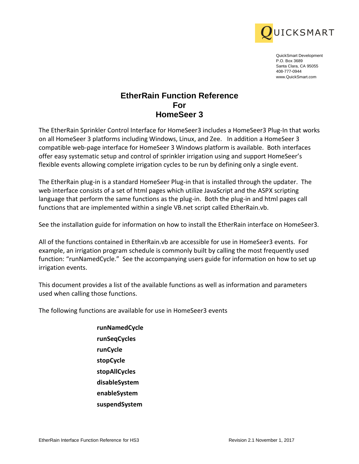

QuickSmart Development P.O. Box 3689 Santa Clara, CA 95055 408-777-0944 www.QuickSmart.com

# **EtherRain Function Reference For HomeSeer 3**

EtherRain Function Reference<br>
EtherRain Function Reference<br>
For Home Search<br>
Home Search<br>
The strengtheir Control Home Search<br>
Monday are also the strength of HS3 Revision 2.1<br>
Solid Home Search 2.1 November 2.1 November 2 The EtherRain Sprinkler Control Interface for HomeSeer3 includes a HomeSeer3 Plug-In that works on all HomeSeer 3 platforms including Windows, Linux, and Zee. In addition a HomeSeer 3 compatible web-page interface for HomeSeer 3 Windows platform is available. Both interfaces offer easy systematic setup and control of sprinkler irrigation using and support HomeSeer's flexible events allowing complete irrigation cycles to be run by defining only a single event.

The EtherRain plug-in is a standard HomeSeer Plug-in that is installed through the updater. The web interface consists of a set of html pages which utilize JavaScript and the ASPX scripting language that perform the same functions as the plug-in. Both the plug-in and html pages call functions that are implemented within a single VB.net script called EtherRain.vb.

See the installation guide for information on how to install the EtherRain interface on HomeSeer3.

All of the functions contained in EtherRain.vb are accessible for use in HomeSeer3 events. For example, an irrigation program schedule is commonly built by calling the most frequently used function: "runNamedCycle." See the accompanying users guide for information on how to set up irrigation events.

This document provides a list of the available functions as well as information and parameters used when calling those functions.

The following functions are available for use in HomeSeer3 events

**runNamedCycle runSeqCycles runCycle stopCycle stopAllCycles disableSystem enableSystem suspendSystem**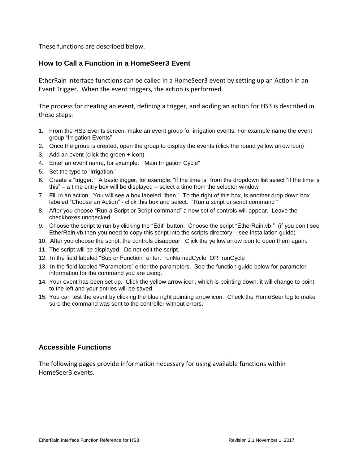These functions are described below.

## **How to Call a Function in a HomeSeer3 Event**

EtherRain interface functions can be called in a HomeSeer3 event by setting up an Action in an Event Trigger. When the event triggers, the action is performed.

The process for creating an event, defining a trigger, and adding an action for HS3 is described in these steps:

- 1. From the HS3 Events screen, make an event group for irrigation events. For example name the event group "Irrigation Events"
- 2. Once the group is created, open the group to display the events (click the round yellow arrow icon)
- 3. Add an event (click the green + icon)
- 4. Enter an event name, for example: "Main Irrigation Cycle"
- 5. Set the type to "irrigation."
- 6. Create a "trigger." A basic trigger, for example: "if the time is" from the dropdown list select "if the time is this" – a time entry box will be displayed – select a time from the selector window
- 7. Fill in an action. You will see a box labeled "then." To the right of this box, is another drop down box labeled "Choose an Action" - click this box and select: "Run a script or script command "
- 8. After you choose "Run a Script or Script command" a new set of controls will appear. Leave the checkboxes unchecked.
- 9. Choose the script to run by clicking the "Edit" button. Choose the script "EtherRain.vb." (if you don't see EtherRain.vb then you need to copy this script into the scripts directory – see installation guide)
- 10. After you choose the script, the controls disappear. Click the yellow arrow icon to open them again.
- 11. The script will be displayed. Do not edit the script.
- 12. In the field labeled "Sub or Function" enter: runNamedCycle OR runCycle
- 13. In the field labeled "Parameters" enter the parameters. See the function guide below for parameter information for the command you are using.
- 14. Your event has been set up. Click the yellow arrow icon, which is pointing down; it will change to point to the left and your entries will be saved.
- 15. You can test the event by clicking the blue right pointing arrow icon. Check the HomeSeer log to make sure the command was sent to the controller without errors.

## **Accessible Functions**

The following pages provide information necessary for using available functions within HomeSeer3 events.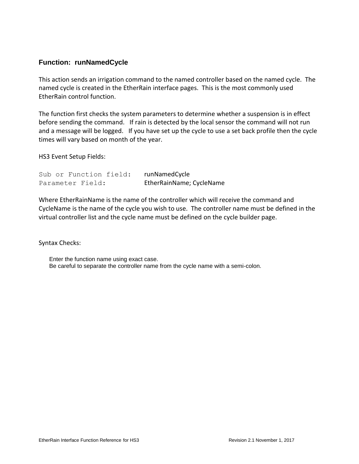# **Function: runNamedCycle**

This action sends an irrigation command to the named controller based on the named cycle. The named cycle is created in the EtherRain interface pages. This is the most commonly used EtherRain control function.

The function first checks the system parameters to determine whether a suspension is in effect before sending the command. If rain is detected by the local sensor the command will not run and a message will be logged. If you have set up the cycle to use a set back profile then the cycle times will vary based on month of the year.

HS3 Event Setup Fields:

|  |                  | Sub or Function field: | runNamedCycle            |
|--|------------------|------------------------|--------------------------|
|  | Parameter Field: |                        | EtherRainName; CycleName |

Where EtherRainName is the name of the controller which will receive the command and CycleName is the name of the cycle you wish to use. The controller name must be defined in the virtual controller list and the cycle name must be defined on the cycle builder page.

Syntax Checks:

Enter the function name using exact case. Be careful to separate the controller name from the cycle name with a semi-colon.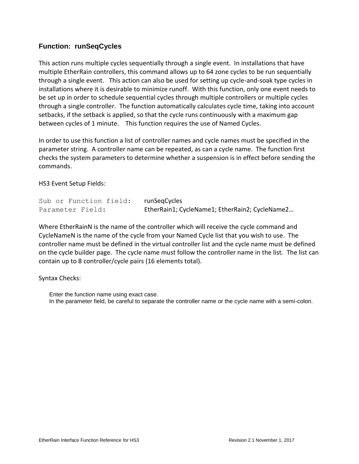# **Function: runSeqCycles**

This action runs multiple cycles sequentially through a single event. In installations that have multiple EtherRain controllers, this command allows up to 64 zone cycles to be run sequentially through a single event. This action can also be used for setting up cycle-and-soak type cycles in installations where it is desirable to minimize runoff. With this function, only one event needs to be set up in order to schedule sequential cycles through multiple controllers or multiple cycles through a single controller. The function automatically calculates cycle time, taking into account setbacks, if the setback is applied, so that the cycle runs continuously with a maximum gap between cycles of 1 minute. This function requires the use of Named Cycles.

In order to use this function a list of controller names and cycle names must be specified in the parameter string. A controller name can be repeated, as can a cycle name. The function first checks the system parameters to determine whether a suspension is in effect before sending the commands.

HS3 Event Setup Fields:

| Sub or Function field: | runSegCycles                                   |
|------------------------|------------------------------------------------|
| Parameter Field:       | EtherRain1; CycleName1; EtherRain2; CycleName2 |

Where EtherRainN is the name of the controller which will receive the cycle command and CycleNameN is the name of the cycle from your Named Cycle list that you wish to use. The controller name must be defined in the virtual controller list and the cycle name must be defined on the cycle builder page. The cycle name must follow the controller name in the list. The list can contain up to 8 controller/cycle pairs (16 elements total).

Syntax Checks:

Enter the function name using exact case. In the parameter field, be careful to separate the controller name or the cycle name with a semi-colon.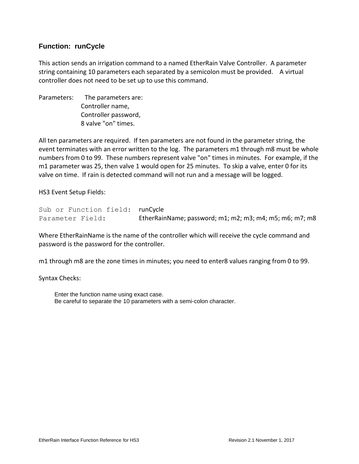## **Function: runCycle**

This action sends an irrigation command to a named EtherRain Valve Controller. A parameter string containing 10 parameters each separated by a semicolon must be provided. A virtual controller does not need to be set up to use this command.

Parameters: The parameters are: Controller name, Controller password, 8 valve "on" times.

All ten parameters are required. If ten parameters are not found in the parameter string, the event terminates with an error written to the log. The parameters m1 through m8 must be whole numbers from 0 to 99. These numbers represent valve "on" times in minutes. For example, if the m1 parameter was 25, then valve 1 would open for 25 minutes. To skip a valve, enter 0 for its valve on time. If rain is detected command will not run and a message will be logged.

HS3 Event Setup Fields:

Sub or Function field: runCycle Parameter Field: EtherRainName; password; m1; m2; m3; m4; m5; m6; m7; m8

Where EtherRainName is the name of the controller which will receive the cycle command and password is the password for the controller.

m1 through m8 are the zone times in minutes; you need to enter8 values ranging from 0 to 99.

Syntax Checks:

Enter the function name using exact case. Be careful to separate the 10 parameters with a semi-colon character.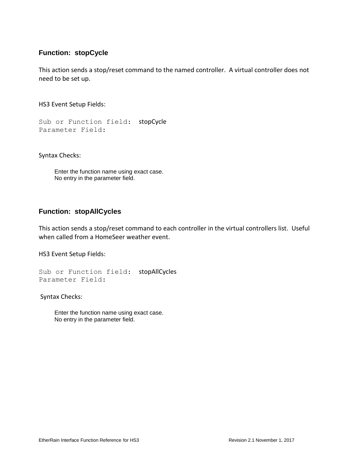## **Function: stopCycle**

This action sends a stop/reset command to the named controller. A virtual controller does not need to be set up.

HS3 Event Setup Fields:

Sub or Function field: stopCycle Parameter Field:

Syntax Checks:

Enter the function name using exact case. No entry in the parameter field.

#### **Function: stopAllCycles**

This action sends a stop/reset command to each controller in the virtual controllers list. Useful when called from a HomeSeer weather event.

HS3 Event Setup Fields:

Sub or Function field: stopAllCycles Parameter Field:

Syntax Checks:

Enter the function name using exact case. No entry in the parameter field.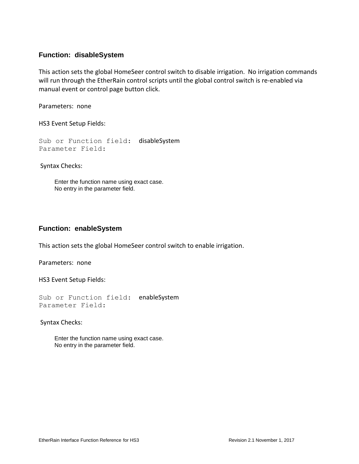#### **Function: disableSystem**

This action sets the global HomeSeer control switch to disable irrigation. No irrigation commands will run through the EtherRain control scripts until the global control switch is re-enabled via manual event or control page button click.

Parameters: none

HS3 Event Setup Fields:

Sub or Function field: disableSystem Parameter Field:

Syntax Checks:

Enter the function name using exact case. No entry in the parameter field.

#### **Function: enableSystem**

This action sets the global HomeSeer control switch to enable irrigation.

Parameters: none

HS3 Event Setup Fields:

Sub or Function field: enableSystem Parameter Field:

Syntax Checks:

Enter the function name using exact case. No entry in the parameter field.